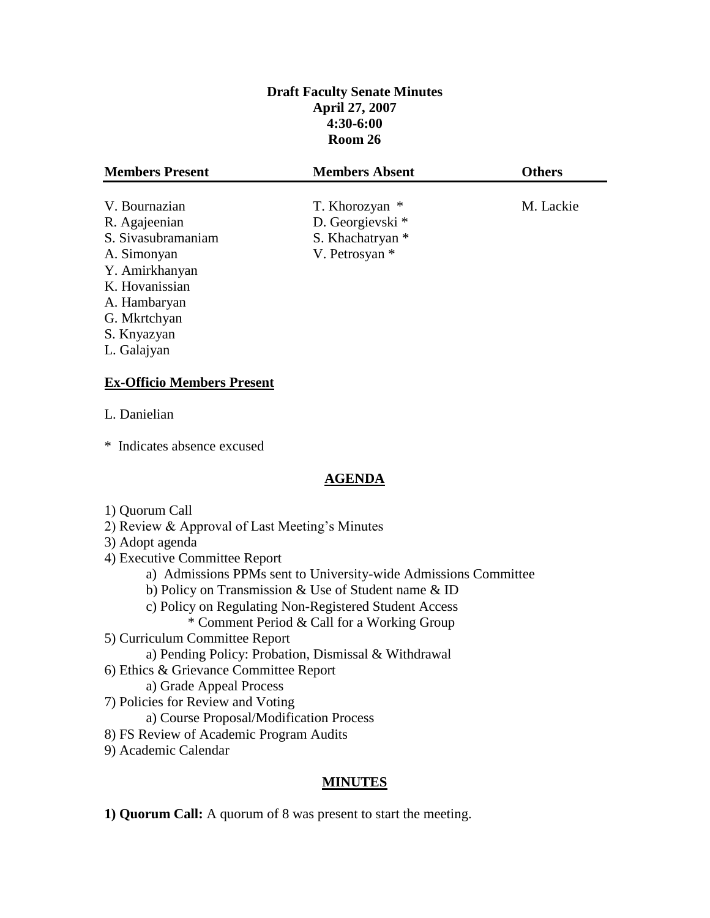# **Draft Faculty Senate Minutes April 27, 2007 4:30-6:00 Room 26**

| <b>Members Present</b>            | <b>Members Absent</b> | <b>Others</b> |
|-----------------------------------|-----------------------|---------------|
|                                   |                       |               |
| V. Bournazian                     | T. Khorozyan *        | M. Lackie     |
| R. Agajeenian                     | D. Georgievski *      |               |
| S. Sivasubramaniam                | S. Khachatryan *      |               |
| A. Simonyan                       | V. Petrosyan *        |               |
| Y. Amirkhanyan                    |                       |               |
| K. Hovanissian                    |                       |               |
| A. Hambaryan                      |                       |               |
| G. Mkrtchyan                      |                       |               |
| S. Knyazyan                       |                       |               |
| L. Galajyan                       |                       |               |
|                                   |                       |               |
| <b>Ex-Officio Members Present</b> |                       |               |

L. Danielian

\* Indicates absence excused

#### **AGENDA**

#### 1) Quorum Call

- 2) Review & Approval of Last Meeting's Minutes
- 3) Adopt agenda
- 4) Executive Committee Report
	- a) Admissions PPMs sent to University-wide Admissions Committee
	- b) Policy on Transmission & Use of Student name & ID
	- c) Policy on Regulating Non-Registered Student Access
		- \* Comment Period & Call for a Working Group
- 5) Curriculum Committee Report
	- a) Pending Policy: Probation, Dismissal & Withdrawal
- 6) Ethics & Grievance Committee Report
	- a) Grade Appeal Process
- 7) Policies for Review and Voting
	- a) Course Proposal/Modification Process
- 8) FS Review of Academic Program Audits
- 9) Academic Calendar

#### **MINUTES**

**1) Quorum Call:** A quorum of 8 was present to start the meeting.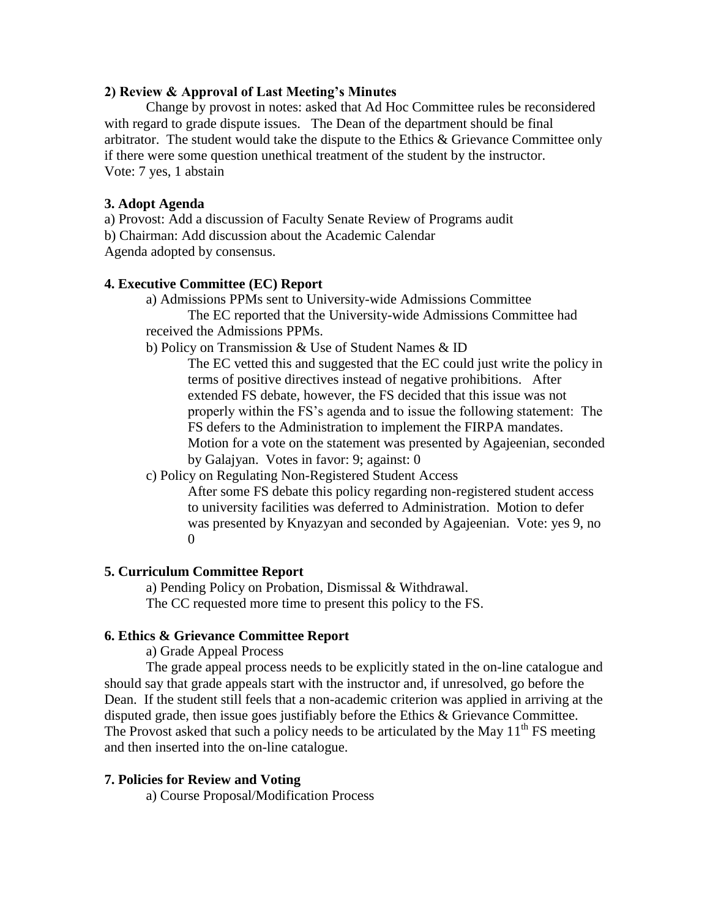### **2) Review & Approval of Last Meeting's Minutes**

Change by provost in notes: asked that Ad Hoc Committee rules be reconsidered with regard to grade dispute issues. The Dean of the department should be final arbitrator. The student would take the dispute to the Ethics & Grievance Committee only if there were some question unethical treatment of the student by the instructor. Vote: 7 yes, 1 abstain

## **3. Adopt Agenda**

a) Provost: Add a discussion of Faculty Senate Review of Programs audit b) Chairman: Add discussion about the Academic Calendar Agenda adopted by consensus.

## **4. Executive Committee (EC) Report**

a) Admissions PPMs sent to University-wide Admissions Committee The EC reported that the University-wide Admissions Committee had received the Admissions PPMs.

b) Policy on Transmission & Use of Student Names & ID

The EC vetted this and suggested that the EC could just write the policy in terms of positive directives instead of negative prohibitions. After extended FS debate, however, the FS decided that this issue was not properly within the FS's agenda and to issue the following statement: The FS defers to the Administration to implement the FIRPA mandates. Motion for a vote on the statement was presented by Agajeenian, seconded by Galajyan. Votes in favor: 9; against: 0

c) Policy on Regulating Non-Registered Student Access

After some FS debate this policy regarding non-registered student access to university facilities was deferred to Administration. Motion to defer was presented by Knyazyan and seconded by Agajeenian. Vote: yes 9, no  $\Omega$ 

# **5. Curriculum Committee Report**

a) Pending Policy on Probation, Dismissal & Withdrawal. The CC requested more time to present this policy to the FS.

#### **6. Ethics & Grievance Committee Report**

a) Grade Appeal Process

The grade appeal process needs to be explicitly stated in the on-line catalogue and should say that grade appeals start with the instructor and, if unresolved, go before the Dean. If the student still feels that a non-academic criterion was applied in arriving at the disputed grade, then issue goes justifiably before the Ethics & Grievance Committee. The Provost asked that such a policy needs to be articulated by the May  $11<sup>th</sup> FS$  meeting and then inserted into the on-line catalogue.

#### **7. Policies for Review and Voting**

a) Course Proposal/Modification Process